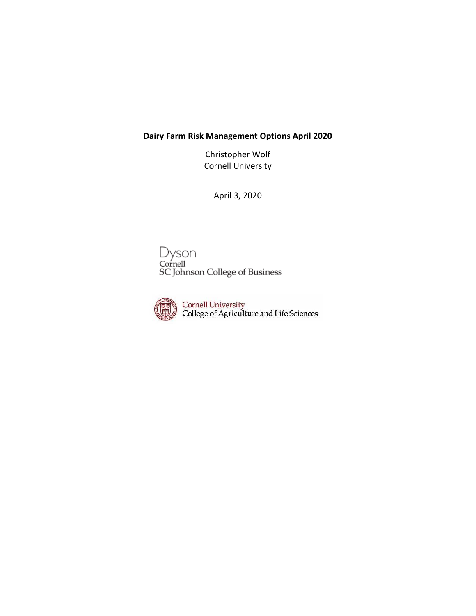# **Dairy Farm Risk Management Options April 2020**

Christopher Wolf Cornell University

April 3, 2020

Dyson<br>Cornell<br>SC Johnson College of Business



Cornell University<br>College of Agriculture and Life Sciences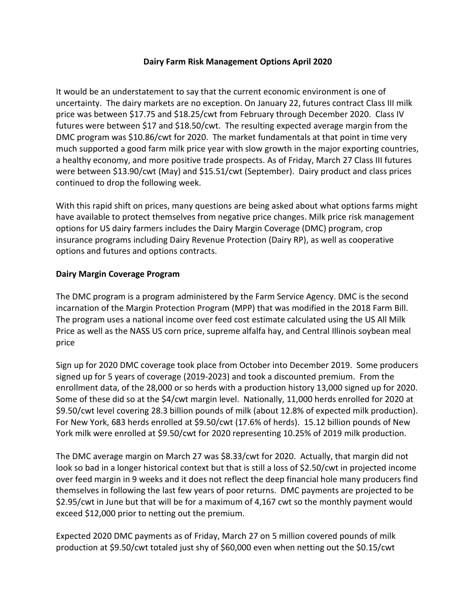### **Dairy Farm Risk Management Options April 2020**

It would be an understatement to say that the current economic environment is one of uncertainty. The dairy markets are no exception. On January 22, futures contract Class III milk price was between \$17.75 and \$18.25/cwt from February through December 2020. Class IV futures were between \$17 and \$18.50/cwt. The resulting expected average margin from the DMC program was \$10.86/cwt for 2020. The market fundamentals at that point in time very much supported a good farm milk price year with slow growth in the major exporting countries, a healthy economy, and more positive trade prospects. As of Friday, March 27 Class III futures were between \$13.90/cwt (May) and \$15.51/cwt (September). Dairy product and class prices continued to drop the following week.

With this rapid shift on prices, many questions are being asked about what options farms might have available to protect themselves from negative price changes. Milk price risk management options for US dairy farmers includes the Dairy Margin Coverage (DMC) program, crop insurance programs including Dairy Revenue Protection (Dairy RP), as well as cooperative options and futures and options contracts.

## **Dairy Margin Coverage Program**

The DMC program is a program administered by the Farm Service Agency. DMC is the second incarnation of the Margin Protection Program (MPP) that was modified in the 2018 Farm Bill. The program uses a national income over feed cost estimate calculated using the US All Milk Price as well as the NASS US corn price, supreme alfalfa hay, and Central Illinois soybean meal price

Sign up for 2020 DMC coverage took place from October into December 2019. Some producers signed up for 5 years of coverage (2019-2023) and took a discounted premium. From the enrollment data, of the 28,000 or so herds with a production history 13,000 signed up for 2020. Some of these did so at the \$4/cwt margin level. Nationally, 11,000 herds enrolled for 2020 at \$9.50/cwt level covering 28.3 billion pounds of milk (about 12.8% of expected milk production). For New York, 683 herds enrolled at \$9.50/cwt (17.6% of herds). 15.12 billion pounds of New York milk were enrolled at \$9.50/cwt for 2020 representing 10.25% of 2019 milk production.

The DMC average margin on March 27 was \$8.33/cwt for 2020. Actually, that margin did not look so bad in a longer historical context but that is still a loss of \$2.50/cwt in projected income over feed margin in 9 weeks and it does not reflect the deep financial hole many producers find themselves in following the last few years of poor returns. DMC payments are projected to be \$2.95/cwt in June but that will be for a maximum of 4,167 cwt so the monthly payment would exceed \$12,000 prior to netting out the premium.

Expected 2020 DMC payments as of Friday, March 27 on 5 million covered pounds of milk production at \$9.50/cwt totaled just shy of \$60,000 even when netting out the \$0.15/cwt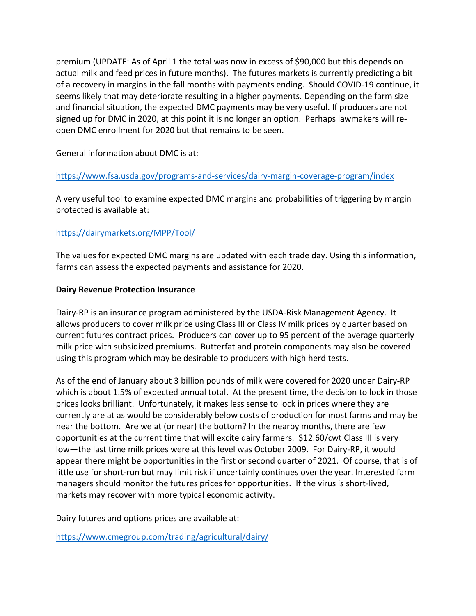premium (UPDATE: As of April 1 the total was now in excess of \$90,000 but this depends on actual milk and feed prices in future months). The futures markets is currently predicting a bit of a recovery in margins in the fall months with payments ending. Should COVID-19 continue, it seems likely that may deteriorate resulting in a higher payments. Depending on the farm size and financial situation, the expected DMC payments may be very useful. If producers are not signed up for DMC in 2020, at this point it is no longer an option. Perhaps lawmakers will reopen DMC enrollment for 2020 but that remains to be seen.

General information about DMC is at:

## <https://www.fsa.usda.gov/programs-and-services/dairy-margin-coverage-program/index>

A very useful tool to examine expected DMC margins and probabilities of triggering by margin protected is available at:

## <https://dairymarkets.org/MPP/Tool/>

The values for expected DMC margins are updated with each trade day. Using this information, farms can assess the expected payments and assistance for 2020.

#### **Dairy Revenue Protection Insurance**

Dairy-RP is an insurance program administered by the USDA-Risk Management Agency. It allows producers to cover milk price using Class III or Class IV milk prices by quarter based on current futures contract prices. Producers can cover up to 95 percent of the average quarterly milk price with subsidized premiums. Butterfat and protein components may also be covered using this program which may be desirable to producers with high herd tests.

As of the end of January about 3 billion pounds of milk were covered for 2020 under Dairy-RP which is about 1.5% of expected annual total. At the present time, the decision to lock in those prices looks brilliant. Unfortunately, it makes less sense to lock in prices where they are currently are at as would be considerably below costs of production for most farms and may be near the bottom. Are we at (or near) the bottom? In the nearby months, there are few opportunities at the current time that will excite dairy farmers. \$12.60/cwt Class III is very low—the last time milk prices were at this level was October 2009. For Dairy-RP, it would appear there might be opportunities in the first or second quarter of 2021. Of course, that is of little use for short-run but may limit risk if uncertainly continues over the year. Interested farm managers should monitor the futures prices for opportunities. If the virus is short-lived, markets may recover with more typical economic activity.

Dairy futures and options prices are available at:

<https://www.cmegroup.com/trading/agricultural/dairy/>